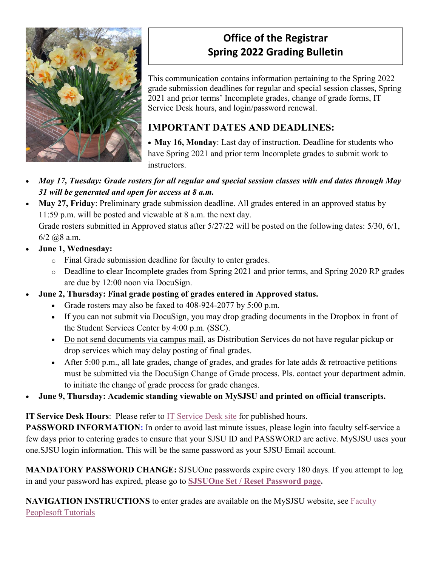

# **Office of the Registrar Spring 2022 Grading Bulletin**

This communication contains information pertaining to the Spring 2022 grade submission deadlines for regular and special session classes, Spring 2021 and prior terms' Incomplete grades, change of grade forms, IT Service Desk hours, and login/password renewal.

## **IMPORTANT DATES AND DEADLINES:**

• **May 16, Monday**: Last day of instruction. Deadline for students who have Spring 2021 and prior term Incomplete grades to submit work to instructors.

- *May 17, Tuesday: Grade rosters for all regular and special session classes with end dates through May 31 will be generated and open for access at 8 a.m.*
- **May 27, Friday**: Preliminary grade submission deadline. All grades entered in an approved status by 11:59 p.m. will be posted and viewable at 8 a.m. the next day.

Grade rosters submitted in Approved status after 5/27/22 will be posted on the following dates: 5/30, 6/1,  $6/2$   $(2.8$  a.m.

- **June 1, Wednesday:**
	- o Final Grade submission deadline for faculty to enter grades.
	- o Deadline to **c**lear Incomplete grades from Spring 2021 and prior terms, and Spring 2020 RP grades are due by 12:00 noon via DocuSign.
- **June 2, Thursday: Final grade posting of grades entered in Approved status.**
	- Grade rosters may also be faxed to 408-924-2077 by 5:00 p.m.
	- If you can not submit via DocuSign, you may drop grading documents in the Dropbox in front of the Student Services Center by 4:00 p.m. (SSC).
	- Do not send documents via campus mail, as Distribution Services do not have regular pickup or drop services which may delay posting of final grades.
	- After 5:00 p.m., all late grades, change of grades, and grades for late adds & retroactive petitions must be submitted via the DocuSign Change of Grade process. Pls. contact your department admin. to initiate the change of grade process for grade changes.
- **June 9, Thursday: Academic standing viewable on MySJSU and printed on official transcripts.**

**IT Service Desk Hours**: Please refer to [IT Service Desk site](https://www.sjsu.edu/it/support/service-desk/index.php) for published hours.

**PASSWORD INFORMATION:** In order to avoid last minute issues, please login into faculty self-service a few days prior to entering grades to ensure that your SJSU ID and PASSWORD are active. MySJSU uses your one.SJSU login information. This will be the same password as your SJSU Email account.

**MANDATORY PASSWORD CHANGE:** SJSUOne passwords expire every 180 days. If you attempt to log in and your password has expired, please go to **[SJSUOne Set / Reset Password page.](https://sjsuone.sjsu.edu/sjsuone/resetpassword/)**

**NAVIGATION INSTRUCTIONS** to enter grades are available on the MySJSU website, see [Faculty](https://www.sjsu.edu/it/training/peoplesoft/faculty.php)  [Peoplesoft Tutorials](https://www.sjsu.edu/it/training/peoplesoft/faculty.php)